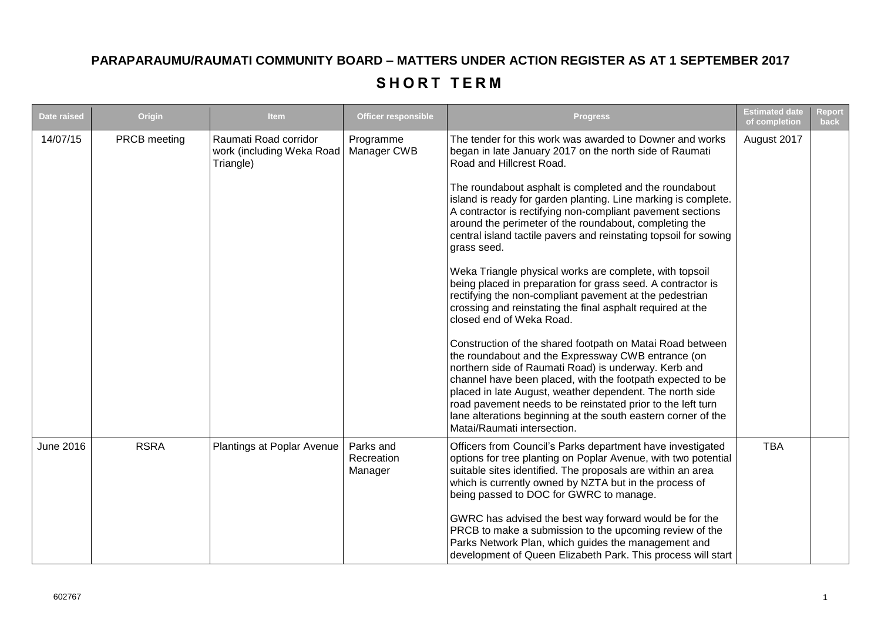## **PARAPARAUMU/RAUMATI COMMUNITY BOARD – MATTERS UNDER ACTION REGISTER AS AT 1 SEPTEMBER 2017**

## **SHORT TERM**

| <b>Date raised</b> | Origin       | <b>Item</b>                                                     | <b>Officer responsible</b>         | <b>Progress</b>                                                                                                                                                                                                                                                                                                                                                                                                                                                  | <b>Estimated date</b><br>of completion | <b>Report</b><br>back |
|--------------------|--------------|-----------------------------------------------------------------|------------------------------------|------------------------------------------------------------------------------------------------------------------------------------------------------------------------------------------------------------------------------------------------------------------------------------------------------------------------------------------------------------------------------------------------------------------------------------------------------------------|----------------------------------------|-----------------------|
| 14/07/15           | PRCB meeting | Raumati Road corridor<br>work (including Weka Road<br>Triangle) | Programme<br>Manager CWB           | The tender for this work was awarded to Downer and works<br>began in late January 2017 on the north side of Raumati<br>Road and Hillcrest Road.                                                                                                                                                                                                                                                                                                                  | August 2017                            |                       |
|                    |              |                                                                 |                                    | The roundabout asphalt is completed and the roundabout<br>island is ready for garden planting. Line marking is complete.<br>A contractor is rectifying non-compliant pavement sections<br>around the perimeter of the roundabout, completing the<br>central island tactile pavers and reinstating topsoil for sowing<br>grass seed.                                                                                                                              |                                        |                       |
|                    |              |                                                                 |                                    | Weka Triangle physical works are complete, with topsoil<br>being placed in preparation for grass seed. A contractor is<br>rectifying the non-compliant pavement at the pedestrian<br>crossing and reinstating the final asphalt required at the<br>closed end of Weka Road.                                                                                                                                                                                      |                                        |                       |
|                    |              |                                                                 |                                    | Construction of the shared footpath on Matai Road between<br>the roundabout and the Expressway CWB entrance (on<br>northern side of Raumati Road) is underway. Kerb and<br>channel have been placed, with the footpath expected to be<br>placed in late August, weather dependent. The north side<br>road pavement needs to be reinstated prior to the left turn<br>lane alterations beginning at the south eastern corner of the<br>Matai/Raumati intersection. |                                        |                       |
| June 2016          | <b>RSRA</b>  | Plantings at Poplar Avenue                                      | Parks and<br>Recreation<br>Manager | Officers from Council's Parks department have investigated<br>options for tree planting on Poplar Avenue, with two potential<br>suitable sites identified. The proposals are within an area<br>which is currently owned by NZTA but in the process of<br>being passed to DOC for GWRC to manage.                                                                                                                                                                 | <b>TBA</b>                             |                       |
|                    |              |                                                                 |                                    | GWRC has advised the best way forward would be for the<br>PRCB to make a submission to the upcoming review of the<br>Parks Network Plan, which guides the management and<br>development of Queen Elizabeth Park. This process will start                                                                                                                                                                                                                         |                                        |                       |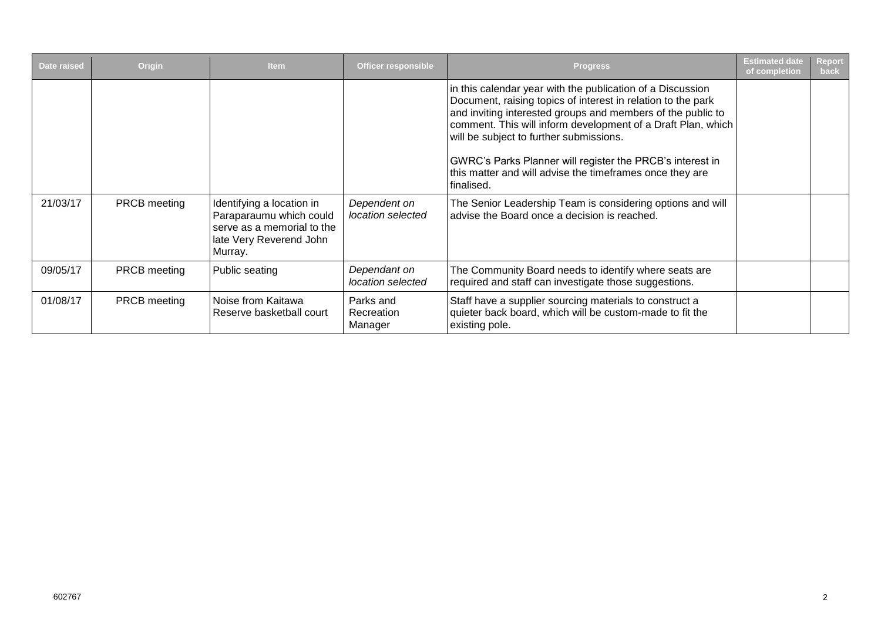| <b>Date raised</b> | Origin              | <b>Item</b>                                                                                                              | <b>Officer responsible</b>         | <b>Progress</b>                                                                                                                                                                                                                                                                                                                                                                                                                             | <b>Estimated date</b><br>of completion | <b>Report</b><br>back |
|--------------------|---------------------|--------------------------------------------------------------------------------------------------------------------------|------------------------------------|---------------------------------------------------------------------------------------------------------------------------------------------------------------------------------------------------------------------------------------------------------------------------------------------------------------------------------------------------------------------------------------------------------------------------------------------|----------------------------------------|-----------------------|
|                    |                     |                                                                                                                          |                                    | in this calendar year with the publication of a Discussion<br>Document, raising topics of interest in relation to the park<br>and inviting interested groups and members of the public to<br>comment. This will inform development of a Draft Plan, which<br>will be subject to further submissions.<br>GWRC's Parks Planner will register the PRCB's interest in<br>this matter and will advise the timeframes once they are<br>finalised. |                                        |                       |
| 21/03/17           | <b>PRCB</b> meeting | Identifying a location in<br>Paraparaumu which could<br>serve as a memorial to the<br>late Very Reverend John<br>Murray. | Dependent on<br>location selected  | The Senior Leadership Team is considering options and will<br>advise the Board once a decision is reached.                                                                                                                                                                                                                                                                                                                                  |                                        |                       |
| 09/05/17           | <b>PRCB</b> meeting | Public seating                                                                                                           | Dependant on<br>location selected  | The Community Board needs to identify where seats are<br>required and staff can investigate those suggestions.                                                                                                                                                                                                                                                                                                                              |                                        |                       |
| 01/08/17           | <b>PRCB</b> meeting | Noise from Kaitawa<br>Reserve basketball court                                                                           | Parks and<br>Recreation<br>Manager | Staff have a supplier sourcing materials to construct a<br>quieter back board, which will be custom-made to fit the<br>existing pole.                                                                                                                                                                                                                                                                                                       |                                        |                       |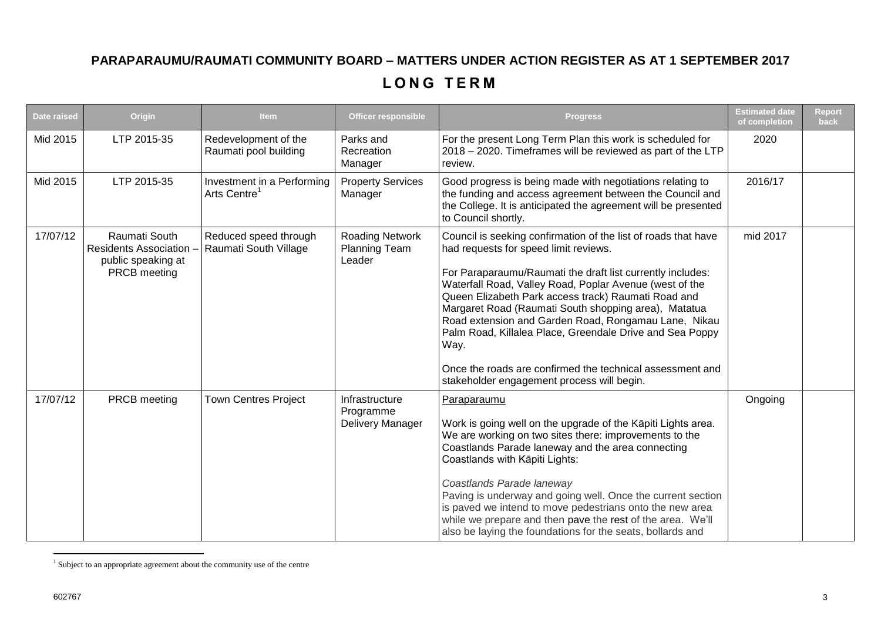## **PARAPARAUMU/RAUMATI COMMUNITY BOARD – MATTERS UNDER ACTION REGISTER AS AT 1 SEPTEMBER 2017**

## **L O N G T E R M**

| <b>Date raised</b> | Origin                                                                              | <b>Item</b>                                            | <b>Officer responsible</b>                               | <b>Progress</b>                                                                                                                                                                                                                                                                                                                                                                                                                                                                                                                                                                        | <b>Estimated date</b><br>of completion | Report<br>back |
|--------------------|-------------------------------------------------------------------------------------|--------------------------------------------------------|----------------------------------------------------------|----------------------------------------------------------------------------------------------------------------------------------------------------------------------------------------------------------------------------------------------------------------------------------------------------------------------------------------------------------------------------------------------------------------------------------------------------------------------------------------------------------------------------------------------------------------------------------------|----------------------------------------|----------------|
| Mid 2015           | LTP 2015-35                                                                         | Redevelopment of the<br>Raumati pool building          | Parks and<br>Recreation<br>Manager                       | For the present Long Term Plan this work is scheduled for<br>2018 - 2020. Timeframes will be reviewed as part of the LTP<br>review.                                                                                                                                                                                                                                                                                                                                                                                                                                                    | 2020                                   |                |
| Mid 2015           | LTP 2015-35                                                                         | Investment in a Performing<br>Arts Centre <sup>1</sup> | <b>Property Services</b><br>Manager                      | Good progress is being made with negotiations relating to<br>the funding and access agreement between the Council and<br>the College. It is anticipated the agreement will be presented<br>to Council shortly.                                                                                                                                                                                                                                                                                                                                                                         | 2016/17                                |                |
| 17/07/12           | Raumati South<br><b>Residents Association</b><br>public speaking at<br>PRCB meeting | Reduced speed through<br>Raumati South Village         | <b>Roading Network</b><br><b>Planning Team</b><br>Leader | Council is seeking confirmation of the list of roads that have<br>had requests for speed limit reviews.<br>For Paraparaumu/Raumati the draft list currently includes:<br>Waterfall Road, Valley Road, Poplar Avenue (west of the<br>Queen Elizabeth Park access track) Raumati Road and<br>Margaret Road (Raumati South shopping area), Matatua<br>Road extension and Garden Road, Rongamau Lane, Nikau<br>Palm Road, Killalea Place, Greendale Drive and Sea Poppy<br>Way.<br>Once the roads are confirmed the technical assessment and<br>stakeholder engagement process will begin. | mid 2017                               |                |
| 17/07/12           | PRCB meeting                                                                        | <b>Town Centres Project</b>                            | Infrastructure<br>Programme<br>Delivery Manager          | Paraparaumu<br>Work is going well on the upgrade of the Kāpiti Lights area.<br>We are working on two sites there: improvements to the<br>Coastlands Parade laneway and the area connecting<br>Coastlands with Kāpiti Lights:<br>Coastlands Parade laneway<br>Paving is underway and going well. Once the current section<br>is paved we intend to move pedestrians onto the new area<br>while we prepare and then pave the rest of the area. We'll<br>also be laying the foundations for the seats, bollards and                                                                       | Ongoing                                |                |

 1 Subject to an appropriate agreement about the community use of the centre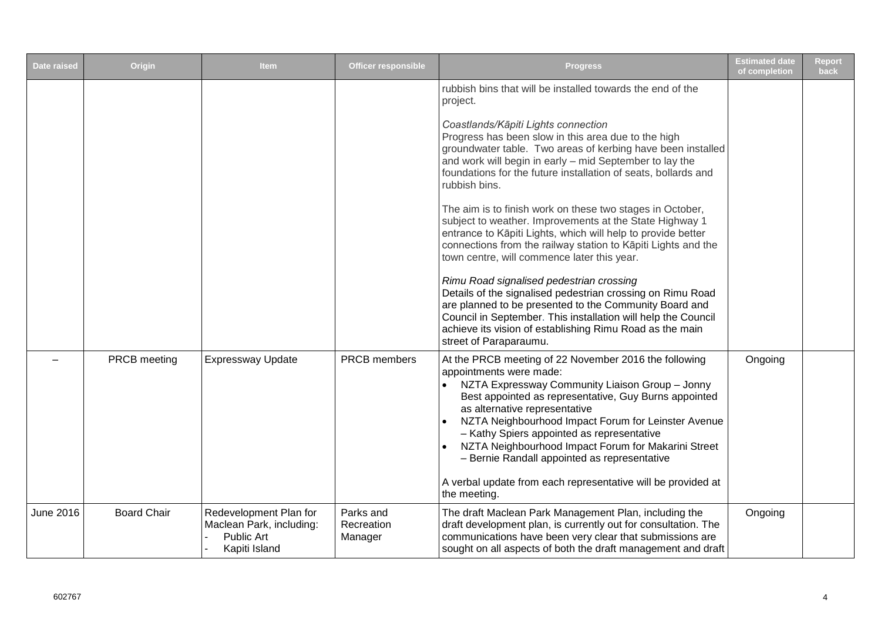| <b>Date raised</b> | Origin             | <b>Item</b>                                                                       | <b>Officer responsible</b>         | <b>Progress</b>                                                                                                                                                                                                                                                                                                                                                                                                                                                                                                                                                                                                                                                                                                                                                                                                                                                                                                                                                                                                      | <b>Estimated date</b><br>of completion | <b>Report</b><br>back |
|--------------------|--------------------|-----------------------------------------------------------------------------------|------------------------------------|----------------------------------------------------------------------------------------------------------------------------------------------------------------------------------------------------------------------------------------------------------------------------------------------------------------------------------------------------------------------------------------------------------------------------------------------------------------------------------------------------------------------------------------------------------------------------------------------------------------------------------------------------------------------------------------------------------------------------------------------------------------------------------------------------------------------------------------------------------------------------------------------------------------------------------------------------------------------------------------------------------------------|----------------------------------------|-----------------------|
|                    |                    |                                                                                   |                                    | rubbish bins that will be installed towards the end of the<br>project.<br>Coastlands/Kāpiti Lights connection<br>Progress has been slow in this area due to the high<br>groundwater table. Two areas of kerbing have been installed<br>and work will begin in early - mid September to lay the<br>foundations for the future installation of seats, bollards and<br>rubbish bins.<br>The aim is to finish work on these two stages in October,<br>subject to weather. Improvements at the State Highway 1<br>entrance to Kāpiti Lights, which will help to provide better<br>connections from the railway station to Kāpiti Lights and the<br>town centre, will commence later this year.<br>Rimu Road signalised pedestrian crossing<br>Details of the signalised pedestrian crossing on Rimu Road<br>are planned to be presented to the Community Board and<br>Council in September. This installation will help the Council<br>achieve its vision of establishing Rimu Road as the main<br>street of Paraparaumu. |                                        |                       |
|                    | PRCB meeting       | <b>Expressway Update</b>                                                          | <b>PRCB</b> members                | At the PRCB meeting of 22 November 2016 the following<br>appointments were made:<br>NZTA Expressway Community Liaison Group - Jonny<br>Best appointed as representative, Guy Burns appointed<br>as alternative representative<br>NZTA Neighbourhood Impact Forum for Leinster Avenue<br>- Kathy Spiers appointed as representative<br>NZTA Neighbourhood Impact Forum for Makarini Street<br>- Bernie Randall appointed as representative<br>A verbal update from each representative will be provided at<br>the meeting.                                                                                                                                                                                                                                                                                                                                                                                                                                                                                            | Ongoing                                |                       |
| <b>June 2016</b>   | <b>Board Chair</b> | Redevelopment Plan for<br>Maclean Park, including:<br>Public Art<br>Kapiti Island | Parks and<br>Recreation<br>Manager | The draft Maclean Park Management Plan, including the<br>draft development plan, is currently out for consultation. The<br>communications have been very clear that submissions are<br>sought on all aspects of both the draft management and draft                                                                                                                                                                                                                                                                                                                                                                                                                                                                                                                                                                                                                                                                                                                                                                  | Ongoing                                |                       |